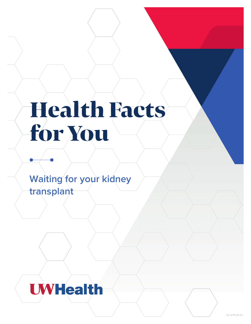# **Health Facts** for You

**Waiting for your kidney transplant**

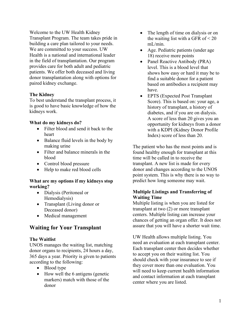Welcome to the UW Health Kidney Transplant Program. The team takes pride in building a care plan tailored to your needs. We are committed to your success. UW Health is a national and international leader in the field of transplantation. Our program provides care for both adult and pediatric patients. We offer both deceased and living donor transplantation along with options for paired kidney exchange.

# **The Kidney**

To best understand the transplant process, it is good to have basic knowledge of how the kidneys work.

# **What do my kidneys do?**

- Filter blood and send it back to the heart
- Balance fluid levels in the body by making urine
- Filter and balance minerals in the blood
- Control blood pressure
- Help to make red blood cells

# **What are my options if my kidneys stop working?**

- Dialysis (Peritoneal or Hemodialysis)
- Transplant (Living donor or Deceased donor)
- Medical management

# **Waiting for Your Transplant**

# **The Waitlist**

UNOS manages the waiting list, matching donor organs to recipients, 24 hours a day, 365 days a year. Priority is given to patients according to the following:

- Blood type
- How well the 6 antigens (genetic markers) match with those of the donor
- The length of time on dialysis or on the waiting list with a GFR of  $\leq 20$ mL/min.
- Age. Pediatric patients (under age 18) receive more points
- Panel Reactive Antibody (PRA) level. This is a blood level that shows how easy or hard it may be to find a suitable donor for a patient based on antibodies a recipient may have.
- EPTS (Expected Post Transplant Score). This is based on: your age, a history of transplant, a history of diabetes, and if you are on dialysis. A score of less than 20 gives you an opportunity for kidneys from a donor with a KDPI (Kidney Donor Profile Index) score of less than 20.

The patient who has the most points and is found healthy enough for transplant at this time will be called in to receive the transplant. A new list is made for every donor and changes according to the UNOS point system. This is why there is no way to predict how long someone may wait.

# **Multiple Listings and Transferring of Waiting Time**

Multiple listing is when you are listed for transplant at two (2) or more transplant centers. Multiple listing can increase your chances of getting an organ offer. It does not assure that you will have a shorter wait time.

UW Health allows multiple listing. You need an evaluation at each transplant center. Each transplant center then decides whether to accept you on their waiting list. You should check with your insurance to see if they cover more than one evaluation. You will need to keep current health information and contact information at each transplant center where you are listed.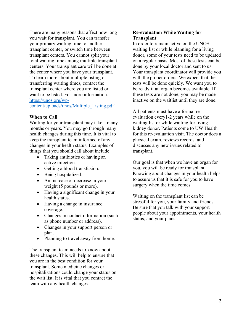There are many reasons that affect how long you wait for transplant. You can transfer your primary waiting time to another transplant center, or switch time between transplant centers. You cannot split your total waiting time among multiple transplant centers. Your transplant care will be done at the center where you have your transplant. To learn more about multiple listing or transferring waiting times, contact the transplant center where you are listed or want to be listed. For more information: [https://unos.org/wp-](https://unos.org/wp-content/uploads/unos/Multiple_Listing.pdf)

## [content/uploads/unos/Multiple\\_Listing.pdf](https://unos.org/wp-content/uploads/unos/Multiple_Listing.pdf)

#### **When to Call**

Waiting for your transplant may take a many months or years. You may go through many health changes during this time. It is vital to keep the transplant team informed of any changes in your health status. Examples of things that you should call about include:

- Taking antibiotics or having an active infection.
- Getting a blood transfusion.
- Being hospitalized.
- An increase or decrease in your weight (5 pounds or more).
- Having a significant change in your health status.
- Having a change in insurance coverage.
- Changes in contact information (such as phone number or address).
- Changes in your support person or plan.
- Planning to travel away from home.

The transplant team needs to know about these changes. This will help to ensure that you are in the best condition for your transplant. Some medicine changes or hospitalizations could change your status on the wait list. It is vital that you contact the team with any health changes.

#### **Re-evaluation While Waiting for Transplant**

In order to remain active on the UNOS waiting list or while planning for a living donor, some of your tests need to be updated on a regular basis. Most of these tests can be done by your local doctor and sent to us. Your transplant coordinator will provide you with the proper orders. We expect that the tests will be done quickly. We want you to be ready if an organ becomes available. If these tests are not done, you may be made inactive on the waitlist until they are done.

All patients must have a formal reevaluation every1-2 years while on the waiting list or while waiting for living kidney donor. Patients come to UW Health for this re-evaluation visit. The doctor does a physical exam, reviews records, and discusses any new issues related to transplant.

Our goal is that when we have an organ for you, you will be ready for transplant. Knowing about changes in your health helps to assure us that it is safe for you to have surgery when the time comes.

Waiting on the transplant list can be stressful for you, your family and friends. Be sure that you talk with your support people about your appointments, your health status, and your plans.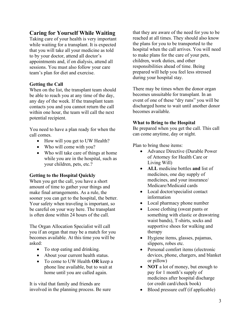# **Caring for Yourself While Waiting**

Taking care of your health is very important while waiting for a transplant. It is expected that you will take all your medicine as told to by your doctor, attend all doctor's appointments and, if on dialysis, attend all sessions. You must also follow your care team's plan for diet and exercise.

# **Getting the Call**

When on the list, the transplant team should be able to reach you at any time of the day, any day of the week. If the transplant team contacts you and you cannot return the call within one hour, the team will call the next potential recipient.

You need to have a plan ready for when the call comes.

- How will you get to UW Health?
- Who will come with you?
- Who will take care of things at home while you are in the hospital, such as your children, pets, etc.?

# **Getting to the Hospital Quickly**

When you get the call, you have a short amount of time to gather your things and make final arrangements. As a rule, the sooner you can get to the hospital, the better. Your safety when traveling is important, so be careful on your way here. The transplant is often done within 24 hours of the call.

The Organ Allocation Specialist will call you if an organ that may be a match for you becomes available. At this time you will be asked:

- To stop eating and drinking.
- About your current health status.
- To come to UW Health **OR** keep a phone line available, but to wait at home until you are called again.

It is vital that family and friends are involved in the planning process. Be sure that they are aware of the need for you to be reached at all times. They should also know the plans for you to be transported to the hospital when the call arrives. You will need to make plans for the care of your pets, children, work duties, and other responsibilities ahead of time. Being prepared will help you feel less stressed during your hospital stay.

There may be times when the donor organ becomes unsuitable for transplant. In an event of one of these "dry runs" you will be discharged home to wait until another donor becomes available.

# **What to Bring to the Hospital**

Be prepared when you get the call. This call can come anytime, day or night.

Plan to bring these items:

- Advance Directive (Durable Power) of Attorney for Health Care or Living Will)
- **ALL** medicine bottles **and** list of medicines, one day supply of medicines, and your insurance/ Medicare/Medicaid cards
- Local doctor/specialist contact information
- Local pharmacy phone number
- Loose clothing (sweat pants or something with elastic or drawstring waist bands), T-shirts, socks and supportive shoes for walking and therapy
- Hygiene items, glasses, pajamas, slippers, robes etc.
- Personal comfort items (electronic devices, phone, chargers, and blanket or pillow)
- **NOT** a lot of money, but enough to pay for 1 month's supply of medicines after hospital discharge (or credit card/check book)
- Blood pressure cuff (if applicable)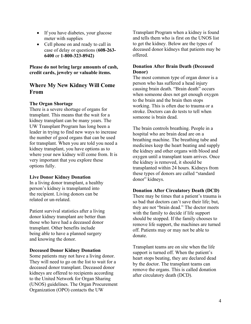- If you have diabetes, your glucose meter with supplies
- Cell phone on and ready to call in case of delay or questions (**608-263- 6400** or **1-800-323-8942)**

**Please do not bring large amounts of cash, credit cards, jewelry or valuable items.** 

# **Where My New Kidney Will Come From**

# **The Organ Shortage**

There is a severe shortage of organs for transplant. This means that the wait for a kidney transplant can be many years. The UW Transplant Program has long been a leader in trying to find new ways to increase the number of good organs that can be used for transplant. When you are told you need a kidney transplant, you have options as to where your new kidney will come from. It is very important that you explore these options fully.

## **Live Donor Kidney Donation**

In a living donor transplant, a healthy person's kidney is transplanted into the recipient. Living donors can be related or un-related.

Patient survival statistics after a living donor kidney transplant are better than those who have had a deceased donor transplant. Other benefits include being able to have a planned surgery and knowing the donor.

#### **Deceased Donor Kidney Donation**

Some patients may not have a living donor. They will need to go on the list to wait for a deceased donor transplant. Deceased donor kidneys are offered to recipients according to the United Network for Organ Sharing (UNOS) guidelines. The Organ Procurement Organization (OPO) contacts the UW

Transplant Program when a kidney is found and tells them who is first on the UNOS list to get the kidney. Below are the types of deceased donor kidneys that patients may be offered.

# **Donation After Brain Death (Deceased Donor)**

The most common type of organ donor is a person who has suffered a head injury causing brain death. "Brain death" occurs when someone does not get enough oxygen to the brain and the brain then stops working. This is often due to trauma or a stroke. Doctors can do tests to tell when someone is brain dead.

The brain controls breathing. People in a hospital who are brain dead are on a breathing machine. The breathing tube and medicines keep the heart beating and supply the kidney and other organs with blood and oxygen until a transplant team arrives. Once the kidney is removed, it should be transplanted within 24 hours. Kidneys from these types of donors are called "standard donor" kidneys.

## **Donation After Circulatory Death (DCD)**

There may be times that a patient's trauma is so bad that doctors can't save their life; but, they are not "brain dead." The doctor meets with the family to decide if life support should be stopped. If the family chooses to remove life support, the machines are turned off. Patients may or may not be able to donate.

Transplant teams are on site when the life support is turned off. When the patient's heart stops beating, they are declared dead by the doctor. The transplant teams can remove the organs. This is called donation after circulatory death (DCD).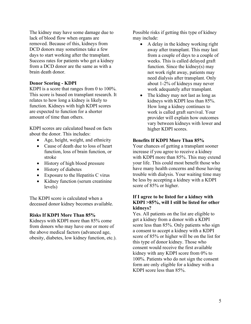The kidney may have some damage due to lack of blood flow when organs are removed. Because of this, kidneys from DCD donors may sometimes take a few days to start working after the transplant. Success rates for patients who get a kidney from a DCD donor are the same as with a brain death donor.

#### **Donor Scoring - KDPI**

KDPI is a score that ranges from 0 to 100%. This score is based on transplant research. It relates to how long a kidney is likely to function. Kidneys with high KDPI scores are expected to function for a shorter amount of time than others.

KDPI scores are calculated based on facts about the donor. This includes:

- Age, height, weight, and ethnicity
- Cause of death due to loss of heart function, loss of brain function, or stroke
- History of high blood pressure
- History of diabetes
- Exposure to the Hepatitis C virus
- Kidney function (serum creatinine levels)

The KDPI score is calculated when a deceased donor kidney becomes available.

#### **Risks If KDPI More Than 85%**

Kidneys with KDPI more than 85% come from donors who may have one or more of the above medical factors (advanced age, obesity, diabetes, low kidney function, etc.). Possible risks if getting this type of kidney may include:

- A delay in the kidney working right away after transplant. This may last from a couple of days to a couple of weeks. This is called delayed graft function. Since the kidney(s) may not work right away, patients may need dialysis after transplant. Only about 1-2% of kidneys may never work adequately after transplant.
- The kidney may not last as long as kidneys with KDPI less than 85%. How long a kidney continues to work is called graft survival. Your provider will explain how outcomes vary between kidneys with lower and higher KDPI scores.

#### **Benefits If KDPI More Than 85%**

Your chances of getting a transplant sooner increase if you agree to receive a kidney with KDPI more than 85%. This may extend your life. This could most benefit those who have many health concerns and those having trouble with dialysis. Your waiting time may be less by accepting a kidney with a KDPI score of 85% or higher.

# **If I agree to be listed for a kidney with KDPI >85%, will I still be listed for other kidneys?**

Yes. All patients on the list are eligible to get a kidney from a donor with a KDPI score less than 85%. Only patients who sign a consent to accept a kidney with a KDPI score of 85% or higher will be on the list for this type of donor kidney. Those who consent would receive the first available kidney with any KDPI score from 0% to 100%. Patients who do not sign the consent form are only eligible for a kidney with a KDPI score less than 85%.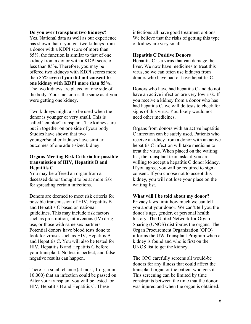#### **Do you ever transplant two kidneys?**

Yes. National data as well as our experience has shown that if you get two kidneys from a donor with a KDPI score of more than 85%, the function is similar to that of one kidney from a donor with a KDPI score of less than 85%. Therefore, you may be offered two kidneys with KDPI scores more than 85% **even if you did not consent to one kidney with KDPI more than 85%.**  The two kidneys are placed on one side of the body. Your incision is the same as if you were getting one kidney.

Two kidneys might also be used when the donor is younger or very small. This is called "en bloc" transplant. The kidneys are put in together on one side of your body. Studies have shown that two younger/smaller kidneys have similar outcomes of one adult-sized kidney.

# **Organs Meeting Risk Criteria for possible transmission of HIV, Hepatitis B and Hepatitis C**

You may be offered an organ from a deceased donor thought to be at more risk for spreading certain infections.

Donors are deemed to meet risk criteria for possible transmission of HIV, Hepatitis B and Hepatitis C based on national guidelines. This may include risk factors such as prostitution, intravenous (IV) drug use, or those with same sex partners. Potential donors have blood tests done to look for viruses such as HIV, Hepatitis B and Hepatitis C. You will also be tested for HIV, Hepatitis B and Hepatitis C before your transplant. No test is perfect, and false negative results can happen.

There is a small chance (at most, 1 organ in 10,000) that an infection could be passed on. After your transplant you will be tested for HIV, Hepatitis B and Hepatitis C. These

infections all have good treatment options. We believe that the risks of getting this type of kidney are very small.

#### **Hepatitis C Positive Donors**

Hepatitis C is a virus that can damage the liver. We now have medicines to treat this virus, so we can often use kidneys from donors who have had or have hepatitis C.

Donors who have had hepatitis C and do not have an active infection are very low risk. If you receive a kidney from a donor who has had hepatitis C, we will do tests to check for signs of this virus. You likely would not need other medicines.

Organs from donors with an active hepatitis C infection can be safely used. Patients who receive a kidney from a donor with an active hepatitis C infection will take medicine to treat the virus. When placed on the waiting list, the transplant team asks if you are willing to accept a hepatitis C donor kidney. If you agree, you will be required to sign a consent. If you choose not to accept this kidney, you will not lose your place on the waiting list.

**What will I be told about my donor?**  Privacy laws limit how much we can tell you about your donor. We can't tell you the donor's age, gender, or personal health history. The United Network for Organ Sharing (UNOS) distributes the organs. The Organ Procurement Organization (OPO) informs the UW Transplant Program when a kidney is found and who is first on the UNOS list to get the kidney.

The OPO carefully screens all would-be donors for any illness that could affect the transplant organ or the patient who gets it. This screening can be limited by time constraints between the time that the donor was injured and when the organ is obtained.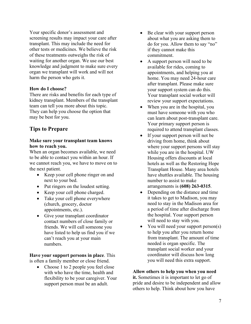Your specific donor's assessment and screening results may impact your care after transplant. This may include the need for other tests or medicines. We believe the risk of these treatments outweighs the risk of waiting for another organ. We use our best knowledge and judgment to make sure every organ we transplant will work and will not harm the person who gets it.

## **How do I choose?**

There are risks and benefits for each type of kidney transplant. Members of the transplant team can tell you more about this topic. They can help you choose the option that may be best for you.

# **Tips to Prepare**

# **Make sure your transplant team knows how to reach you.**

When an organ becomes available, we need to be able to contact you within an hour. If we cannot reach you, we have to move on to the next patient.

- Keep your cell phone ringer on and next to your bed.
- Put ringers on the loudest setting.
- Keep your cell phone charged.
- Take your cell phone everywhere (church, grocery, doctor appointments, etc.).
- Give your transplant coordinator contact numbers of close family or friends. We will call someone you have listed to help us find you if we can't reach you at your main numbers.

**Have your support persons in place**. This is often a family member or close friend.

Choose 1 to 2 people you feel close with who have the time, health and flexibility to be your caregiver. Your support person must be an adult.

- Be clear with your support person about what you are asking them to do for you. Allow them to say "no" if they cannot make this commitment.
- A support person will need to be available for rides, coming to appointments, and helping you at home. You may need 24-hour care after transplant. Please make sure your support system can do this. Your transplant social worker will review your support expectations.
- When you are in the hospital, you must have someone with you who can learn about post-transplant care. Your primary support person is required to attend transplant classes.
- If your support person will not be driving from home, think about where your support persons will stay while you are in the hospital. UW Housing offers discounts at local hotels as well as the Restoring Hope Transplant House. Many area hotels have shuttles available. The housing number to assist to make arrangements is **(608) 263-0315**.
- Depending on the distance and time it takes to get to Madison, you may need to stay in the Madison area for a period of time after discharge from the hospital. Your support person will need to stay with you.
- You will need your support person(s) to help you after you return home from transplant. The amount of time needed is organ specific. The transplant social worker and your coordinator will discuss how long you will need this extra support.

# **Allow others to help you when you need**

**it.** Sometimes it is important to let go of pride and desire to be independent and allow others to help. Think about how you have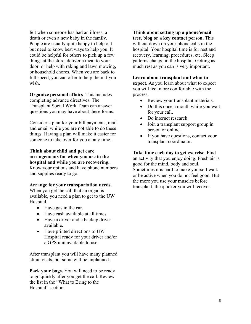felt when someone has had an illness, a death or even a new baby in the family. People are usually quite happy to help out but need to know best ways to help you. It could be helpful for others to pick up a few things at the store, deliver a meal to your door, or help with raking and lawn mowing, or household chores. When you are back to full speed, you can offer to help them if you wish.

**Organize personal affairs**. This includes completing advance directives. The Transplant Social Work Team can answer questions you may have about these forms.

Consider a plan for your bill payments, mail and email while you are not able to do these things. Having a plan will make it easier for someone to take over for you at any time.

**Think about child and pet care arrangements for when you are in the hospital and while you are recovering.**  Know your options and have phone numbers and supplies ready to go.

#### **Arrange for your transportation needs.**

When you get the call that an organ is available, you need a plan to get to the UW Hospital.

- Have gas in the car.
- Have cash available at all times.
- Have a driver and a backup driver available.
- Have printed directions to UW Hospital ready for your driver and/or a GPS unit available to use.

After transplant you will have many planned clinic visits, but some will be unplanned.

**Pack your bags.** You will need to be ready to go quickly after you get the call. Review the list in the "What to Bring to the Hospital" section.

**Think about setting up a phone/email tree, blog or a key contact person.** This will cut down on your phone calls in the hospital. Your hospital time is for rest and recovery, learning, procedures, etc. Sleep patterns change in the hospital. Getting as much rest as you can is very important.

#### **Learn about transplant and what to**

**expect.** As you learn about what to expect you will feel more comfortable with the process.

- Review your transplant materials.
- Do this once a month while you wait for your call.
- Do internet research.
- Join a transplant support group in person or online.
- If you have questions, contact your transplant coordinator.

**Take time each day to get exercise**. Find an activity that you enjoy doing. Fresh air is good for the mind, body and soul. Sometimes it is hard to make yourself walk or be active when you do not feel good. But the more you use your muscles before transplant, the quicker you will recover.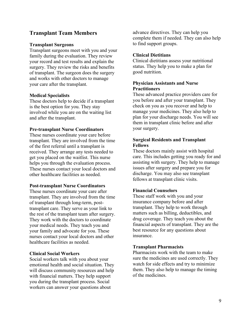# **Transplant Team Members**

#### **Transplant Surgeons**

Transplant surgeons meet with you and your family during the evaluation. They review your record and test results and explain the surgery. They review the risks and benefits of transplant. The surgeon does the surgery and works with other doctors to manage your care after the transplant.

#### **Medical Specialists**

These doctors help to decide if a transplant is the best option for you. They stay involved while you are on the waiting list and after the transplant.

#### **Pre-transplant Nurse Coordinators**

These nurses coordinate your care before transplant. They are involved from the time of the first referral until a transplant is received. They arrange any tests needed to get you placed on the waitlist. This nurse helps you through the evaluation process. These nurses contact your local doctors and other healthcare facilities as needed.

#### **Post-transplant Nurse Coordinators**

These nurses coordinate your care after transplant. They are involved from the time of transplant through long-term, posttransplant care. They serve as your link to the rest of the transplant team after surgery. They work with the doctors to coordinate your medical needs. They teach you and your family and advocate for you. These nurses contact your local doctors and other healthcare facilities as needed.

#### **Clinical Social Workers**

Social workers talk with you about your emotional health and social situation. They will discuss community resources and help with financial matters. They help support you during the transplant process. Social workers can answer your questions about

advance directives. They can help you complete them if needed. They can also help to find support groups.

#### **Clinical Dietitians**

Clinical dietitians assess your nutritional status. They help you to make a plan for good nutrition.

## **Physician Assistants and Nurse Practitioners**

These advanced practice providers care for you before and after your transplant. They check on you as you recover and help to manage your medicines. They also help to plan for your discharge needs. You will see them in transplant clinic before and after your surgery.

# **Surgical Residents and Transplant Fellows**

These doctors mainly assist with hospital care. This includes getting you ready for and assisting with surgery. They help to manage issues after surgery and prepare you for discharge. You may also see transplant fellows at transplant clinic visits.

## **Financial Counselors**

These staff work with you and your insurance company before and after transplant. They help to work through matters such as billing, deductibles, and drug coverage. They teach you about the financial aspects of transplant. They are the best resource for any questions about insurance.

#### **Transplant Pharmacists**

Pharmacists work with the team to make sure the medicines are used correctly. They watch for side effects and try to minimize them. They also help to manage the timing of the medicines.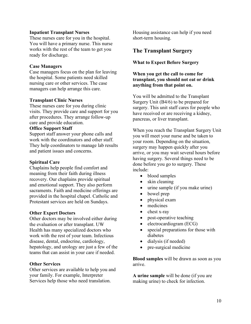#### **Inpatient Transplant Nurses**

These nurses care for you in the hospital. You will have a primary nurse. This nurse works with the rest of the team to get you ready for discharge.

## **Case Managers**

Case managers focus on the plan for leaving the hospital. Some patients need skilled nursing care or other services. The case managers can help arrange this care.

#### **Transplant Clinic Nurses**

These nurses care for you during clinic visits. They provide care and support for you after procedures. They arrange follow-up care and provide education.

#### **Office Support Staff**

Support staff answer your phone calls and work with the coordinators and other staff. They help coordinators to manage lab results and patient issues and concerns.

#### **Spiritual Care**

Chaplains help people find comfort and meaning from their faith during illness recovery. Our chaplains provide spiritual and emotional support. They also perform sacraments. Faith and medicine offerings are provided in the hospital chapel. Catholic and Protestant services are held on Sundays.

#### **Other Expert Doctors**

Other doctors may be involved either during the evaluation or after transplant. UW Health has many specialized doctors who work with the rest of your team. Infectious disease, dental, endocrine, cardiology, hepatology, and urology are just a few of the teams that can assist in your care if needed.

#### **Other Services**

Other services are available to help you and your family. For example, Interpreter Services help those who need translation.

Housing assistance can help if you need short-term housing.

# **The Transplant Surgery**

#### **What to Expect Before Surgery**

# **When you get the call to come for transplant, you should not eat or drink anything from that point on.**

You will be admitted to the Transplant Surgery Unit (B4/6) to be prepared for surgery. This unit staff cares for people who have received or are receiving a kidney, pancreas, or liver transplant.

When you reach the Transplant Surgery Unit you will meet your nurse and be taken to your room. Depending on the situation, surgery may happen quickly after you arrive, or you may wait several hours before having surgery. Several things need to be done before you go to surgery. These include:

- blood samples
- skin cleaning
- urine sample (if you make urine)
- bowel prep
- physical exam
- medicines
- chest x-ray
- post-operative teaching
- electrocardiogram (ECG)
- special preparations for those with diabetes
- dialysis (if needed)
- pre-surgical medicine

**Blood samples** will be drawn as soon as you arrive.

**A urine sample** will be done (if you are making urine) to check for infection.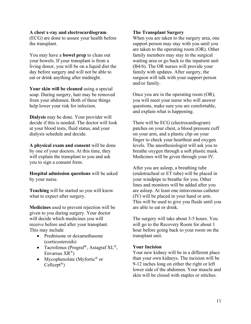#### **A chest x-ray and electrocardiogram**

(ECG) are done to assure your health before the transplant.

You may have a **bowel prep** to clean out your bowels. If your transplant is from a living donor, you will be on a liquid diet the day before surgery and will not be able to eat or drink anything after midnight.

**Your skin will be cleaned** using a special soap. During surgery, hair may be removed from your abdomen. Both of these things help lower your risk for infection.

**Dialysis** may be done. Your provider will decide if this is needed. The doctor will look at your blood tests, fluid status, and your dialysis schedule and decide.

**A physical exam and consent** will be done by one of your doctors. At this time, they will explain the transplant to you and ask you to sign a consent form.

**Hospital admission questions** will be asked by your nurse.

**Teaching** will be started so you will know what to expect after surgery.

**Medicines** used to prevent rejection will be given to you during surgery. Your doctor will decide which medicines you will receive before and after your transplant. This may include

- Prednisone or dexamethasone (corticosteroids)
- Tacrolimus (Prograf<sup>®</sup>, Astagraf  $XL^®$ , Envarsus XR®)
- Mycophenolate (Myfortic $^{\circledR}$  or  $Cellcept^{\mathcal{B}}$

# **The Transplant Surgery**

When you are taken to the surgery area, one support person may stay with you until you are taken to the operating room (OR). Other family members may stay in the surgical waiting area or go back to the inpatient unit (B4/6). The OR nurses will provide your family with updates. After surgery, the surgeon will talk with your support person and/or family.

Once you are in the operating room (OR), you will meet your nurse who will answer questions, make sure you are comfortable, and explain what is happening.

There will be ECG (electrocardiogram) patches on your chest, a blood pressure cuff on your arm, and a plastic clip on your finger to check your heartbeat and oxygen levels. The anesthesiologist will ask you to breathe oxygen through a soft plastic mask. Medicines will be given through your IV.

After you are asleep, a breathing tube (endotracheal or ET tube) will be placed in your windpipe to breathe for you. Other lines and monitors will be added after you are asleep. At least one intravenous catheter (IV) will be placed in your hand or arm. This will be used to give you fluids until you are able to eat or drink.

The surgery will take about 3-5 hours. You will go to the Recovery Room for about 1 hour before going back to your room on the transplant unit.

## **Your Incision**

Your new kidney will be in a different place than your own kidneys. The incision will be 9-12 inches long on either the right or left lower side of the abdomen. Your muscle and skin will be closed with staples or stitches.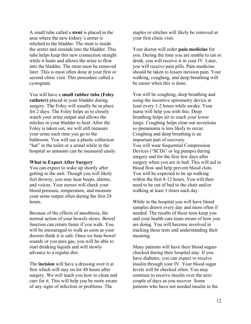A small tube called a **stent** is placed in the area where the new kidney's ureter is stitched to the bladder. The stent is inside the ureter and extends into the bladder. This tube helps keep this new connection straight while it heals and allows the urine to flow into the bladder. The stent must be removed later. This is most often done at your first or second clinic visit. This procedure called a cystogram.

You will have a **small rubber tube (Foley catheter)** placed in your bladder during surgery. The Foley will usually be in place for 2 days. The Foley helps us to closely watch your urine output and allows the stitches in your bladder to heal. After the Foley is taken out, we will still measure your urine each time you go to the bathroom. You will use a plastic collection "hat" in the toilet or a urinal while in the hospital so amounts can be measured easily.

#### **What to Expect After Surgery**

You can expect to wake up shortly after getting to the unit. Though you will likely feel drowsy, you may hear beeps, alarms, and voices. Your nurses will check your blood pressure, temperature, and measure your urine output often during the first 24 hours.

Because of the effects of anesthesia, the normal action of your bowels slows. Bowel function can return faster if you walk. You will be encouraged to walk as soon as your doctors think it is safe. Once we hear bowel sounds or you pass gas, you will be able to start drinking liquids and will slowly advance to a regular diet.

The **incision** will have a dressing over it at first which will stay on for 48 hours after surgery. We will teach you how to clean and care for it. This will help you be more aware of any signs of infection or problems. The

staples or stitches will likely be removed at your first clinic visit.

Your doctor will order **pain medicine** for you. During the time you are unable to eat or drink, you will receive it in your IV. Later, you will receive pain pills. Pain medicine should be taken to lessen incision pain. Your walking, coughing, and deep breathing will be easier when this is done.

You will be coughing, deep breathing and using the incentive spirometry device at least every 1-2 hours while awake. Your nurse will help you with this. Deep breathing helps air to reach your lower lungs. Coughing helps clear out secretions so pneumonia is less likely to occur. Coughing and deep breathing is an important part of recovery. You will wear Sequential Compression Devices ("SCDs" or leg pumps) during surgery and for the first few days after surgery when you are in bed. This will aid in blood flow and help prevent blood clots. You will be expected to be up walking within the first 8-12 hours. You will then need to be out of bed to the chair and/or walking at least 3 times each day.

While in the hospital you will have blood samples drawn every day and more often if needed. The results of these tests keep you and your health care team aware of how you are doing. You will become involved in tracking these tests and understanding their meaning.

Many patients will have their blood sugars checked during their hospital stay. If you have diabetes, you can expect to receive insulin through your IV. Your blood sugar levels will be checked often. You may continue to receive insulin over the next couple of days as you recover. Some patients who have not needed insulin in the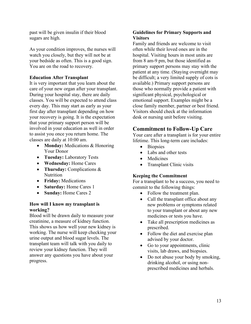past will be given insulin if their blood sugars are high.

As your condition improves, the nurses will watch you closely, but they will not be at your bedside as often. This is a good sign. You are on the road to recovery.

# **Education After Transplant**

It is very important that you learn about the care of your new organ after your transplant. During your hospital stay, there are daily classes. You will be expected to attend class every day. This may start as early as your first day after transplant depending on how your recovery is going. It is the expectation that your primary support person will be involved in your education as well in order to assist you once you return home. The classes are daily at 10:00 am.

- **Monday:** Medications & Honoring Your Donor
- **Tuesday:** Laboratory Tests
- **Wednesday:** Home Cares
- **Thursday:** Complications & Nutrition
- **Friday:** Medications
- **Saturday:** Home Cares 1
- **Sunday:** Home Cares 2

# **How will I know my transplant is working?**

Blood will be drawn daily to measure your creatinine, a measure of kidney function. This shows us how well your new kidney is working. The nurse will keep checking your urine output and blood sugar levels. The transplant team will talk with you daily to review your kidney function. They will answer any questions you have about your progress.

# **Guidelines for Primary Supports and Visitors**

Family and friends are welcome to visit often while their loved ones are in the hospital. Visiting hours in most units are from 8 am-9 pm, but those identified as primary support persons may stay with the patient at any time. (Staying overnight may be difficult; a very limited supply of cots is available.) Primary support persons are those who normally provide a patient with significant physical, psychological or emotional support. Examples might be a close family member, partner or best friend. Visitors should check at the information desk or nursing unit before visiting.

# **Commitment to Follow-Up Care**

Your care after a transplant is for your entire lifetime. This long-term care includes:

- Biopsies
- Labs and other tests
- **Medicines**
- Transplant Clinic visits

## **Keeping the Commitment**

For a transplant to be a success, you need to commit to the following things:

- Follow the treatment plan.
- Call the transplant office about any new problems or symptoms related to your transplant or about any new medicines or tests you have.
- Take all prescription medicines as prescribed.
- Follow the diet and exercise plan advised by your doctor.
- Go to your appointments, clinic visits, lab draws, and biopsies.
- Do not abuse your body by smoking, drinking alcohol, or using nonprescribed medicines and herbals.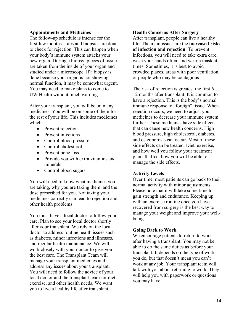#### **Appointments and Medicines**

The follow-up schedule is intense for the first few months. Labs and biopsies are done to check for rejection. This can happen when your body's immune system attacks your new organ. During a biopsy, pieces of tissue are taken from the inside of your organ and studied under a microscope. If a biopsy is done because your organ is not showing normal function, it may be somewhat urgent. You may need to make plans to come to UW Health without much warning.

After your transplant, you will be on many medicines. You will be on some of them for the rest of your life. This includes medicines which:

- Prevent rejection
- Prevent infections
- Control blood pressure
- Control cholesterol
- Prevent bone loss
- Provide you with extra vitamins and minerals
- Control blood sugars

You will need to know what medicines you are taking, why you are taking them, and the dose prescribed for you. Not taking your medicines correctly can lead to rejection and other health problems.

You must have a local doctor to follow your care. Plan to see your local doctor shortly after your transplant. We rely on the local doctor to address routine health issues such as diabetes, minor infections and illnesses, and regular health maintenance. We will work closely with your doctor to give you the best care. The Transplant Team will manage your transplant medicines and address any issues about your transplant. You will need to follow the advice of your local doctor and the transplant team for diet, exercise, and other health needs. We want you to live a healthy life after transplant.

#### **Health Concerns After Surgery**

After transplant, people can live a healthy life. The main issues are the **increased risks of infection and rejection**. To prevent infections, you will need to take extra care, wash your hands often, and wear a mask at times. Sometimes, it is best to avoid crowded places, areas with poor ventilation, or people who may be contagious.

The risk of rejection is greatest the first  $6 -$ 12 months after transplant. It is common to have a rejection. This is the body's normal immune response to "foreign" tissue. When rejection occurs, we need to adjust your medicines to decrease your immune system further. These medicines have side effects that can cause new health concerns. High blood pressure, high cholesterol, diabetes, and osteoporosis can occur. Most of these side effects can be treated. Diet, exercise, and how well you follow your treatment plan all affect how you will be able to manage the side effects.

## **Activity Levels**

Over time, most patients can go back to their normal activity with minor adjustments. Please note that it will take some time to gain strength and endurance. Keeping up with an exercise routine once you have recovered from surgery is the best way to manage your weight and improve your wellbeing.

#### **Going Back to Work**

We encourage patients to return to work after having a transplant. You may not be able to do the same duties as before your transplant. It depends on the type of work you do, but that doesn't mean you can't work at any job. Your transplant team will talk with you about returning to work. They will help you with paperwork or questions you may have.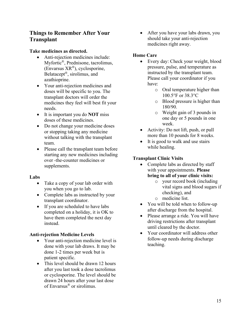# **Things to Remember After Your Transplant**

# **Take medicines as directed.**

- Anti-rejection medicines include: Myfortic®, Prednisone, tacrolimus, (Envarsus XR®), cyclosporine, Belatacept®, sirolimus, and azathioprine.
- Your anti-rejection medicines and doses will be specific to you. The transplant doctors will order the medicines they feel will best fit your needs.
- It is important you do **NOT** miss doses of these medicines.
- Do not change your medicine doses or stopping taking any medicine without talking with the transplant team.
- Please call the transplant team before starting any new medicines including over -the-counter medicines or supplements.

# **Labs**

- Take a copy of your lab order with you when you go to lab.
- Complete labs as instructed by your transplant coordinator.
- If you are scheduled to have labs completed on a holiday, it is OK to have them completed the next day instead.

# **Anti-rejection Medicine Levels**

- Your anti-rejection medicine level is done with your lab draws. It may be done 1-2 times per week but is patient specific.
- This level should be drawn 12 hours after you last took a dose tacrolimus or cyclosporine. The level should be drawn 24 hours after your last dose of Envarsus® or sirolimus.

• After you have your labs drawn, you should take your anti-rejection medicines right away.

# **Home Care**

- Every day: Check your weight, blood pressure, pulse, and temperature as instructed by the transplant team. Please call your coordinator if you have:
	- o Oral temperature higher than 100.5°F or 38.3°C
	- o Blood pressure is higher than 180/90.
	- o Weight gain of 3 pounds in one day or 5 pounds in one week.
- Activity: Do not lift, push, or pull more than 10 pounds for 8 weeks.
- It is good to walk and use stairs while healing.

# **Transplant Clinic Visits**

- Complete labs as directed by staff with your appointments. **Please bring to all of your clinic visits:**
	- o your record book (including vital signs and blood sugars if checking), and
	- o medicine list.
- You will be told when to follow-up after discharge from the hospital.
- Please arrange a ride. You will have driving restrictions after transplant until cleared by the doctor.
- Your coordinator will address other follow-up needs during discharge teaching.